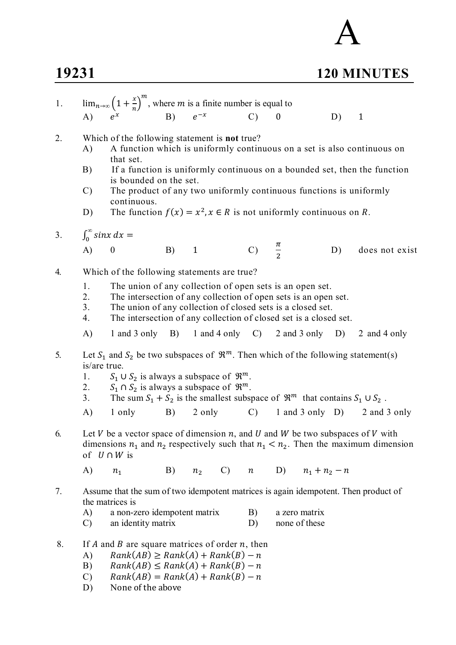## **19231 120 MINUTES**

| 1. | $\lim_{n\to\infty} \left(1+\frac{x}{n}\right)^m$ , where <i>m</i> is a finite number is equal to                                                                                                 |                                                                                                                                                                                                                                                                                                                                                                                                                  |            |                |  |                    |                           |                                |    |                                              |
|----|--------------------------------------------------------------------------------------------------------------------------------------------------------------------------------------------------|------------------------------------------------------------------------------------------------------------------------------------------------------------------------------------------------------------------------------------------------------------------------------------------------------------------------------------------------------------------------------------------------------------------|------------|----------------|--|--------------------|---------------------------|--------------------------------|----|----------------------------------------------|
|    |                                                                                                                                                                                                  | A) $e^x$ B)                                                                                                                                                                                                                                                                                                                                                                                                      |            |                |  | $\mathcal{C}$      |                           |                                | D) | $\mathbf{1}$                                 |
| 2. | A)<br>B)<br>$\mathcal{C}$<br>D)                                                                                                                                                                  | Which of the following statement is <b>not</b> true?<br>A function which is uniformly continuous on a set is also continuous on<br>that set.<br>If a function is uniformly continuous on a bounded set, then the function<br>is bounded on the set.<br>The product of any two uniformly continuous functions is uniformly<br>continuous.<br>The function $f(x) = x^2, x \in R$ is not uniformly continuous on R. |            |                |  |                    |                           |                                |    |                                              |
| 3. |                                                                                                                                                                                                  | $\int_0^\infty$ sinx dx =                                                                                                                                                                                                                                                                                                                                                                                        |            |                |  |                    |                           |                                |    |                                              |
|    | $\bf{A}$                                                                                                                                                                                         | $\boldsymbol{0}$                                                                                                                                                                                                                                                                                                                                                                                                 | B)         | $\mathbf{1}$   |  | C) $\frac{\pi}{2}$ |                           |                                | D) | does not exist                               |
| 4. | 1.<br>2.<br>3.<br>4.                                                                                                                                                                             | Which of the following statements are true?<br>The union of any collection of open sets is an open set.<br>The intersection of any collection of open sets is an open set.<br>The union of any collection of closed sets is a closed set.<br>The intersection of any collection of closed set is a closed set.                                                                                                   |            |                |  |                    |                           |                                |    |                                              |
|    | A)                                                                                                                                                                                               | 1 and 3 only $\quad$ B)                                                                                                                                                                                                                                                                                                                                                                                          |            |                |  |                    |                           |                                |    | 1 and 4 only C) 2 and 3 only D) 2 and 4 only |
| 5. | is/are true.<br>1.<br>2.<br>3.                                                                                                                                                                   | Let $S_1$ and $S_2$ be two subspaces of $\mathbb{R}^m$ . Then which of the following statement(s)<br>$S_1 \cup S_2$ is always a subspace of $\mathfrak{R}^m$ .<br>$S_1 \cap S_2$ is always a subspace of $\mathfrak{R}^m$ .<br>The sum $S_1 + S_2$ is the smallest subspace of $\mathbb{R}^m$ that contains $S_1 \cup S_2$ .                                                                                     |            |                |  |                    |                           |                                |    |                                              |
|    | A)                                                                                                                                                                                               | 1 only                                                                                                                                                                                                                                                                                                                                                                                                           | B)         |                |  |                    |                           |                                |    | 2 only C) 1 and 3 only D) 2 and 3 only       |
| 6. | Let V be a vector space of dimension n, and U and W be two subspaces of V with<br>dimensions $n_1$ and $n_2$ respectively such that $n_1 < n_2$ . Then the maximum dimension<br>of $U \cap W$ is |                                                                                                                                                                                                                                                                                                                                                                                                                  |            |                |  |                    |                           |                                |    |                                              |
|    | A)                                                                                                                                                                                               | n <sub>1</sub>                                                                                                                                                                                                                                                                                                                                                                                                   | <b>B</b> ) | n <sub>2</sub> |  |                    | C) $n$ D) $n_1 + n_2 - n$ |                                |    |                                              |
| 7. | A)<br>$\mathcal{C}$                                                                                                                                                                              | Assume that the sum of two idempotent matrices is again idempotent. Then product of<br>the matrices is<br>a non-zero idempotent matrix<br>an identity matrix                                                                                                                                                                                                                                                     |            |                |  | B)<br>D)           |                           | a zero matrix<br>none of these |    |                                              |
| 8. | A)<br>B)                                                                                                                                                                                         | If A and B are square matrices of order $n$ , then<br>$Rank(AB) \geq Rank(A) + Rank(B) - n$<br>$Rank(AB) \leq Rank(A) + Rank(B) - n$                                                                                                                                                                                                                                                                             |            |                |  |                    |                           |                                |    |                                              |

A

- $C$ )  $Rank(AB) = Rank(A) + Rank(B) n$
- D) None of the above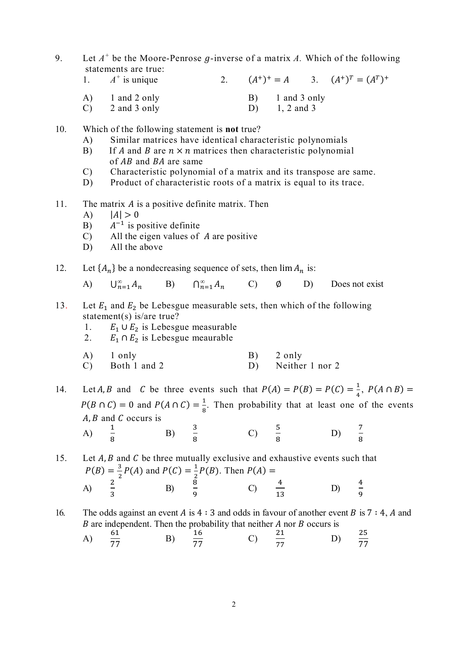- 9. Let  $A^+$  be the Moore-Penrose g-inverse of a matrix A. Which of the following statements are true:
	- 1.  $A^+$  is unique 2. (A  $f^+$  +  $= A$  3.  $(A^+)^T = (A^T)^+$
	- A) 1 and 2 only B) 1 and 3 only
	- $(C)$  2 and 3 only  $(D)$  1, 2 and 3
- 10. Which of the following statement is **not** true?
	- A) Similar matrices have identical characteristic polynomials
	- B) If A and B are  $n \times n$  matrices then characteristic polynomial of  $AB$  and  $BA$  are same
	- C) Characteristic polynomial of a matrix and its transpose are same.
	- D) Product of characteristic roots of a matrix is equal to its trace.
- 11. The matrix  $\vec{A}$  is a positive definite matrix. Then
	- $A$ )  $|A| > 0$

8

- $B$ )  $^{-1}$  is positive definite
- $C$  All the eigen values of  $\hat{A}$  are positive
- D) All the above
- 12. Let  $\{A_n\}$  be a nondecreasing sequence of sets, then  $\lim A_n$  is:

A)  $\bigcup_{n=1}^{\infty} A_n$  B)  $\bigcap_{n=1}^{\infty} A_n$  C)  $\emptyset$  D) Does not exist

- 13. Let  $E_1$  and  $E_2$  be Lebesgue measurable sets, then which of the following statement(s) is/are true?
	- 1.  $E_1 \cup E_2$  is Lebesgue measurable
	- 2.  $E_1 \cap E_2$  is Lebesgue meaurable
	- A) 1 only B) 2 only C) Both 1 and 2 D) Neither 1 nor 2

14. Let A, B and C be three events such that  $P(A) = P(B) = P(C) = \frac{1}{4}$  $\frac{1}{4}$ ,  $P(A \cap B) =$  $P(B \cap C) = 0$  and  $P(A \cap C) = \frac{1}{2}$  $\frac{1}{8}$ . Then probability that at least one of the events  $A, B$  and  $C$  occurs is A)  $\mathbf 1$ B)  $\frac{3}{6}$ C)  $\frac{5}{6}$  $(D)$   $\frac{7}{2}$ 

8

8

15. Let  $A, B$  and  $C$  be three mutually exclusive and exhaustive events such that  $P(B) = \frac{3}{3}$  $\frac{3}{2}P(A)$  and  $P(C) = \frac{1}{2}$  $\frac{1}{2}P(B)$ . Then  $P(A) =$ A)  $\frac{2}{3}$  $\frac{2}{3}$  B)  $\frac{8}{9}$  $\frac{8}{9}$  C)  $\frac{4}{13}$ 13 D)  $\frac{4}{9}$ ଽ

8

16. The odds against an event A is  $4:3$  and odds in favour of another event B is  $7:4$ , A and  $B$  are independent. Then the probability that neither  $A$  nor  $B$  occurs is

A)  $\frac{61}{77}$  $\frac{32}{77}$  B)  $rac{16}{77}$  C)  $21$ 77 D)  $rac{25}{77}$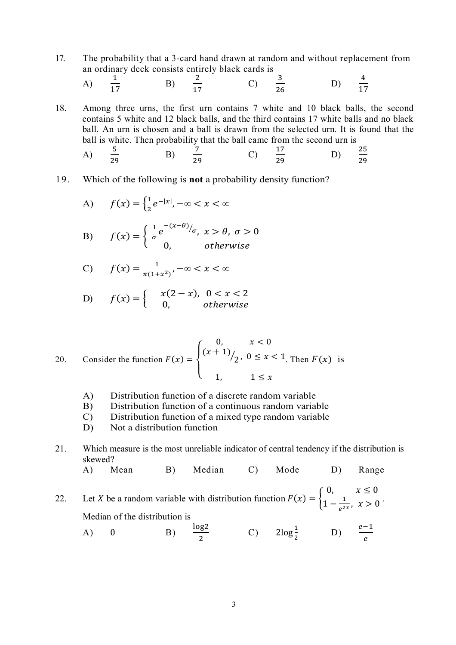17. The probability that a 3-card hand drawn at random and without replacement from an ordinary deck consists entirely black cards is

A) 
$$
\frac{1}{17}
$$
 \t\t B)  $\frac{2}{17}$  \t\t C)  $\frac{3}{26}$  \t\t D)  $\frac{4}{17}$ 

18. Among three urns, the first urn contains 7 white and 10 black balls, the second contains 5 white and 12 black balls, and the third contains 17 white balls and no black ball. An urn is chosen and a ball is drawn from the selected urn. It is found that the ball is white. Then probability that the ball came from the second urn is

A) 
$$
\frac{5}{29}
$$
 \t\t B)  $\frac{7}{29}$  \t\t C)  $\frac{17}{29}$  \t\t D)  $\frac{25}{29}$ 

19. Which of the following is **not** a probability density function?

A) 
$$
f(x) = \left\{ \frac{1}{2} e^{-|x|}, -\infty < x < \infty \right\}
$$

B) 
$$
f(x) = \begin{cases} \frac{1}{\sigma} e^{-(x-\theta)/\sigma}, & x > \theta, \ \sigma > 0 \\ 0, & \text{otherwise} \end{cases}
$$

$$
C) \qquad f(x) = \frac{1}{\pi(1+x^2)}, -\infty < x < \infty
$$

D) 
$$
f(x) = \begin{cases} x(2-x), & 0 < x < 2 \\ 0, & otherwise \end{cases}
$$

20. Consider the function 
$$
F(x) = \begin{cases} 0, & x < 0 \\ (x+1)/2, & 0 \le x < 1 \end{cases}
$$
 Then  $F(x)$  is  $1 \le x$ 

- A) Distribution function of a discrete random variable
- B) Distribution function of a continuous random variable
- C) Distribution function of a mixed type random variable
- D) Not a distribution function
- 21. Which measure is the most unreliable indicator of central tendency if the distribution is skewed?

A) Mean B) Median C) Mode D) Range

22. Let X be a random variable with distribution function  $F(x) = \{$ 0,  $x \leq 0$  $1 - \frac{1}{2}$  $\frac{1}{e^{2x}}, x > 0$ Median of the distribution is

A) 0 
$$
\frac{\log 2}{2}
$$
 C)  $2\log \frac{1}{2}$  D)  $\frac{e-1}{e}$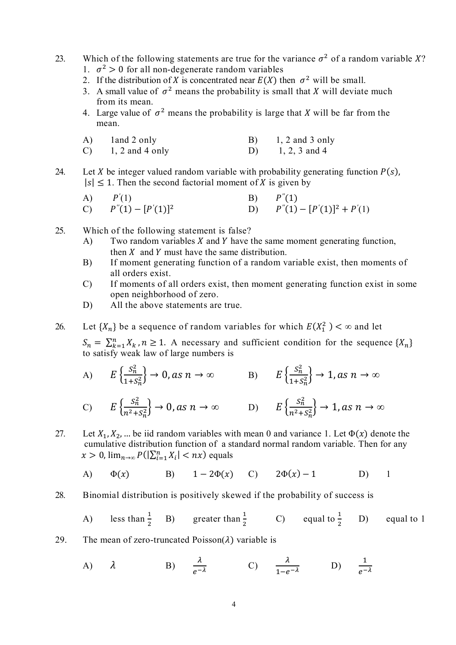- 23. Which of the following statements are true for the variance  $\sigma^2$  of a random variable X?
	- 1.  $\sigma^2 > 0$  for all non-degenerate random variables
	- 2. If the distribution of X is concentrated near  $E(X)$  then  $\sigma^2$  will be small.
	- 3. A small value of  $\sigma^2$  means the probability is small that X will deviate much from its mean.
	- 4. Large value of  $\sigma^2$  means the probability is large that X will be far from the mean.
	- A)  $1$  and  $2$  only  $B$   $1, 2$  and  $3$  only C) 1, 2 and 4 only D) 1, 2, 3 and 4
- 24. Let X be integer valued random variable with probability generating function  $P(s)$ ,  $|s| \leq 1$ . Then the second factorial moment of X is given by

A) 
$$
P'(1)
$$
  
\nC)  $P''(1) - [P'(1)]^2$   
\nD)  $P''(1) - [P'(1)]^2 + P'(1)$ 

- 25. Which of the following statement is false?
	- A) Two random variables  $X$  and  $Y$  have the same moment generating function, then  $X$  and  $Y$  must have the same distribution.
	- B) If moment generating function of a random variable exist, then moments of all orders exist.
	- C) If moments of all orders exist, then moment generating function exist in some open neighborhood of zero.
	- D) All the above statements are true.
- 26. Let  $\{X_n\}$  be a sequence of random variables for which  $E(X_1^2) < \infty$  and let

 $S_n = \sum_{k=1}^n X_k$ ,  $n \ge 1$ . A necessary and sufficient condition for the sequence  $\{X_n\}$ to satisfy weak law of large numbers is

A) 
$$
E\left\{\frac{s_n^2}{1+s_n^2}\right\} \to 0
$$
, as  $n \to \infty$   
\nB)  $E\left\{\frac{s_n^2}{1+s_n^2}\right\} \to 1$ , as  $n \to \infty$   
\nC)  $E\left\{\frac{s_n^2}{n^2+s_n^2}\right\} \to 0$ , as  $n \to \infty$   
\nD)  $E\left\{\frac{s_n^2}{n^2+s_n^2}\right\} \to 1$ , as  $n \to \infty$ 

27. Let 
$$
X_1, X_2, \ldots
$$
 be iid random variables with mean 0 and variance 1. Let  $\Phi(x)$  denote the cumulative distribution function of a standard normal random variable. Then for any  $x > 0$ ,  $\lim_{n \to \infty} P(|\sum_{i=1}^n X_i| < nx)$  equals

A)  $\Phi(x)$  B)  $1 - 2\Phi(x)$  C)  $2\Phi(x) - 1$  D) 1

28. Binomial distribution is positively skewed if the probability of success is

A) less than 
$$
\frac{1}{2}
$$
 B) greater than  $\frac{1}{2}$  C) equal to  $\frac{1}{2}$  D) equal to 1

29. The mean of zero-truncated Poisson( $\lambda$ ) variable is

A) 
$$
\lambda
$$
 B)  $\frac{\lambda}{e^{-\lambda}}$  C)  $\frac{\lambda}{1-e^{-\lambda}}$  D)  $\frac{1}{e^{-\lambda}}$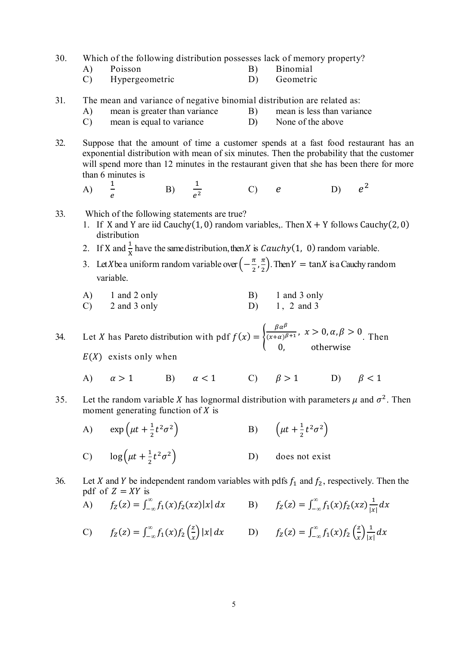30. Which of the following distribution possesses lack of memory property?

- A) Poisson B) Binomial
- C) Hypergeometric D) Geometric
- 31. The mean and variance of negative binomial distribution are related as:
	- A) mean is greater than variance B) mean is less than variance
	- C) mean is equal to variance D) None of the above
- 32. Suppose that the amount of time a customer spends at a fast food restaurant has an exponential distribution with mean of six minutes. Then the probability that the customer will spend more than 12 minutes in the restaurant given that she has been there for more than 6 minutes is  $\mathbf 1$ 
	- A)

 $\overline{1}$ e

- $B)$  $e<sup>2</sup>$
- 33. Which of the following statements are true?
	- 1. If X and Y are iid Cauchy(1,0) random variables,. Then  $X + Y$  follows Cauchy(2,0) distribution

 $(C)$   $e$  D)

 $e^2$ 

- 2. If X and  $\frac{1}{x}$  have the same distribution, then X is *Cauchy*(1, 0) random variable.
- 3. Let *X* be a uniform random variable over  $\left(-\frac{\pi}{2}\right)$  $\frac{\pi}{2}, \frac{\pi}{2}$  $\frac{\pi}{2}$ ). Then  $Y = \tan X$  is a Cauchy random variable.
- A) 1 and 2 only B) 1 and 3 only C)  $2$  and  $3$  only  $D$   $1, 2$  and  $3$

34. Let X has Pareto distribution with pdf  $f(x) = \{$  $\beta \alpha^{\beta}$  $\frac{p\alpha}{(x+\alpha)^{\beta+1}}, x > 0, \alpha, \beta > 0$ 0, otherwise . Then

 $E(X)$  exists only when

- A)  $\alpha > 1$  B)  $\alpha < 1$  C)  $\beta > 1$  D)  $\beta < 1$
- 35. Let the random variable X has lognormal distribution with parameters  $\mu$  and  $\sigma^2$ . Then moment generating function of  $X$  is
	- A)  $\exp\left(\mu t + \frac{1}{2}\right)$  $\frac{1}{2}t^2\sigma$ a B)  $\left(\mu t + \frac{1}{2}\right)$  $\frac{1}{2}t^2\sigma^2$ C)  $\log \left( \mu t + \frac{1}{2} \right)$  $\frac{1}{2}t^2\sigma$ D) does not exist
- 36. Let X and Y be independent random variables with pdfs  $f_1$  and  $f_2$ , respectively. Then the pdf of  $Z = XY$  is

A) 
$$
f_Z(z) = \int_{-\infty}^{\infty} f_1(x) f_2(xz) |x| dx
$$
 B)  $f_Z(z) = \int_{-\infty}^{\infty} f_1(x) f_2(xz) \frac{1}{|x|} dx$ 

C) 
$$
f_Z(z) = \int_{-\infty}^{\infty} f_1(x) f_2\left(\frac{z}{x}\right) |x| dx
$$
 D)  $f_Z(z) = \int_{-\infty}^{\infty} f_1(x) f_2\left(\frac{z}{x}\right) \frac{1}{|x|} dx$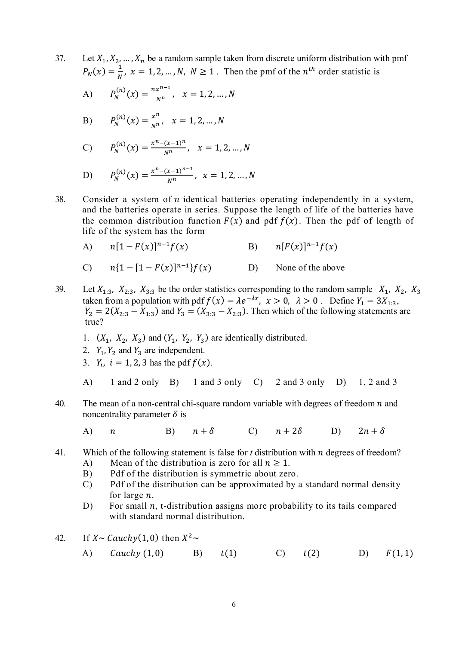37. Let  $X_1, X_2, ..., X_n$  be a random sample taken from discrete uniform distribution with pmf  $P_N(x) = \frac{1}{N}$  $\frac{1}{N}$ ,  $x = 1, 2, ..., N$ ,  $N \ge 1$ . Then the pmf of the  $n^{th}$  order statistic is

A) 
$$
P_N^{(n)}(x) = \frac{nx^{n-1}}{N^n}, \quad x = 1, 2, ..., N
$$

B) 
$$
P_N^{(n)}(x) = \frac{x^n}{N^n}, \quad x = 1, 2, ..., N
$$

C) 
$$
P_N^{(n)}(x) = \frac{x^n - (x-1)^n}{N^n}, \quad x = 1, 2, ..., N
$$

D) 
$$
P_N^{(n)}(x) = \frac{x^n - (x-1)^{n-1}}{N^n}, \ x = 1, 2, ..., N
$$

38. Consider a system of  $n$  identical batteries operating independently in a system, and the batteries operate in series. Suppose the length of life of the batteries have the common distribution function  $F(x)$  and pdf  $f(x)$ . Then the pdf of length of life of the system has the form

A) 
$$
n[1 - F(x)]^{n-1}f(x)
$$
 B)  $n[F(x)]^{n-1}f(x)$ 

C) 
$$
n\{1 - [1 - F(x)]^{n-1}\}f(x)
$$
 D) None of the above

- 39. Let  $X_{1:3}$ ,  $X_{2:3}$ ,  $X_{3:3}$  be the order statistics corresponding to the random sample  $X_1$ ,  $X_2$ ,  $X_3$ taken from a population with pdf  $f(x) = \lambda e^{-\lambda x}$ ,  $x > 0$ ,  $\lambda > 0$ . Define  $Y_1 = 3X_{1:3}$ ,  $Y_2 = 2(X_{2:3} - X_{1:3})$  and  $Y_3 = (X_{3:3} - X_{2:3})$ . Then which of the following statements are true?
	- 1.  $(X_1, X_2, X_3)$  and  $(Y_1, Y_2, Y_3)$  are identically distributed.
	- 2.  $Y_1, Y_2$  and  $Y_3$  are independent.
	- 3.  $Y_i$ ,  $i = 1, 2, 3$  has the pdf  $f(x)$ .
	- A) 1 and 2 only B) 1 and 3 only C) 2 and 3 only D) 1, 2 and 3
- 40. The mean of a non-central chi-square random variable with degrees of freedom  $n$  and noncentrality parameter  $\delta$  is
	- A)  $n$  B)  $n + \delta$  C)  $n + 2\delta$  D)  $2n + \delta$
- 41. Which of the following statement is false for *t* distribution with *n* degrees of freedom?
	- A) Mean of the distribution is zero for all  $n \ge 1$ .
	- B) Pdf of the distribution is symmetric about zero.
	- C) Pdf of the distribution can be approximated by a standard normal density for large *n*.
	- D) For small  $n$ , t-distribution assigns more probability to its tails compared with standard normal distribution.
- 42. If  $X \sim Cauchy(1,0)$  then  $X^2 \sim$ 
	- (auchy (1,0) B)  $t(1)$  C)  $t(2)$  D)  $F(1,1)$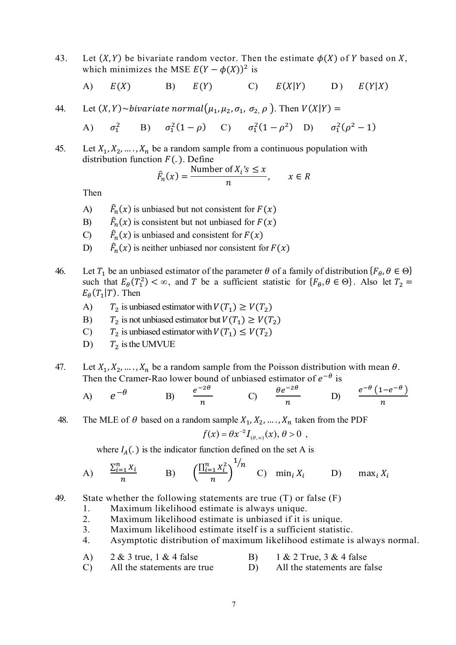43. Let  $(X, Y)$  be bivariate random vector. Then the estimate  $\phi(X)$  of Y based on X, which minimizes the MSE  $E(Y - \phi(X))^2$  is

A) 
$$
E(X)
$$
 B)  $E(Y)$  C)  $E(X|Y)$  D)  $E(Y|X)$ 

44. Let  $(X, Y) \sim bivariate$  normal $(\mu_1, \mu_2, \sigma_1, \sigma_2, \rho)$ . Then  $V(X|Y) =$ 

A)  $\sigma_1^2$  B)  $\sigma_1^2(1-\rho)$  C)  $\sigma_1^2(1-\rho^2)$  D)  $\sigma_1^2(\rho^2-1)$ 

45. Let  $X_1, X_2, ..., X_n$  be a random sample from a continuous population with distribution function  $F(.)$ . Define

$$
\hat{F}_n(x) = \frac{\text{Number of } X_i \text{'s} \le x}{n}, \qquad x \in R
$$

Then

- $\bf{A}$  $\sum_{n=1}^{\infty}$  (x) is unbiased but not consistent for  $F(x)$
- $B$ )  $\sum_{n=1}^{\infty}$  (x) is consistent but not unbiased for  $F(x)$
- $\mathcal{C}$  $\sum_{n=1}^{\infty}$  (x) is unbiased and consistent for  $F(x)$
- D)  $\sum_{n=1}^{\infty}$  (x) is neither unbiased nor consistent for  $F(x)$
- 46. Let  $T_1$  be an unbiased estimator of the parameter  $\theta$  of a family of distribution  $\{F_\theta, \theta \in \Theta\}$ such that  $E_{\theta}(T_1^2) < \infty$ , and T be a sufficient statistic for  $\{F_{\theta}, \theta \in \Theta\}$ . Also let  $T_2 =$  $E_{\theta}(T_1|T)$ . Then
	- A)  $T_2$  is unbiased estimator with  $V(T_1) \geq V(T_2)$
	- B)  $T_2$  is not unbiased estimator but  $V(T_1) \geq V(T_2)$
	- C)  $T_2$  is unbiased estimator with  $V(T_1) \leq V(T_2)$
	- D)  $T_2$  is the UMVUE
- 47. Let  $X_1, X_2, ..., X_n$  be a random sample from the Poisson distribution with mean  $\theta$ . Then the Cramer-Rao lower bound of unbiased estimator of  $e^{-\theta}$  is

A) 
$$
e^{-\theta}
$$
 B)  $\frac{e^{-2\theta}}{n}$  C)  $\frac{\theta e^{-2\theta}}{n}$  D)  $\frac{e^{-\theta}(1-e^{-\theta})}{n}$ 

48. The MLE of  $\theta$  based on a random sample  $X_1, X_2, ..., X_n$  taken from the PDF

$$
f(x) = \theta x^{-2} I_{(\theta,\infty)}(x), \theta > 0 ,
$$

where  $I_A(.)$  is the indicator function defined on the set A is

A) 
$$
\frac{\sum_{i=1}^{n} X_i}{n}
$$
 B) 
$$
\left(\frac{\prod_{i=1}^{n} X_i^2}{n}\right)^{1/n}
$$
 C) 
$$
\min_i X_i
$$
 D) 
$$
\max_i X_i
$$

49. State whether the following statements are true (T) or false (F)

- 1. Maximum likelihood estimate is always unique.
- 2. Maximum likelihood estimate is unbiased if it is unique.
- 3. Maximum likelihood estimate itself is a sufficient statistic.
- 4. Asymptotic distribution of maximum likelihood estimate is always normal.
- A)  $2 \& 3$  true,  $1 \& 4$  false B)  $1 \& 2$  True,  $3 \& 4$  false
- C) All the statements are true D) All the statements are false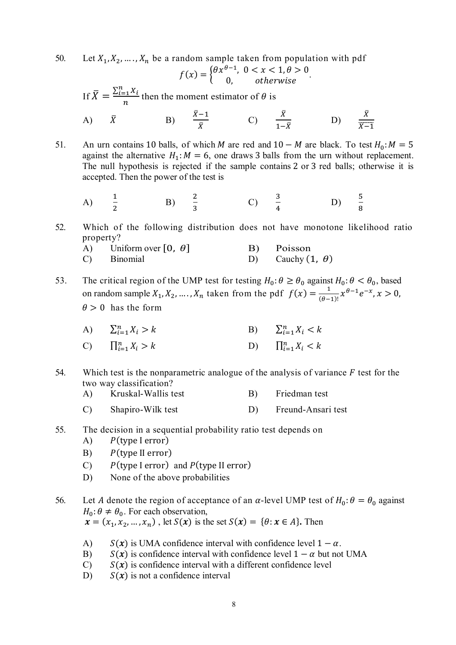50. Let  $X_1, X_2, ..., X_n$  be a random sample taken from population with pdf  $f(x) = \begin{cases} \theta x^{\theta-1}, & 0 < x < 1, \theta > 0 \\ 0, & otherwise \end{cases}.$ If  $\bar{X} = \frac{\sum_{i=1}^{n} X_i}{n}$  $\frac{t}{n}$  then the moment estimator of  $\theta$  is A)  $\bar{X}$  $\bar{X}-1$  $\frac{1}{\bar{X}}$  C)  $\bar{X}$  $rac{n}{1-\bar{X}}$  D)  $\bar{X}$  $\overline{X-1}$ 

51. An urn contains 10 balls, of which *M* are red and  $10 - M$  are black. To test  $H_0$ :  $M = 5$ against the alternative  $H_1: M = 6$ , one draws 3 balls from the urn without replacement. The null hypothesis is rejected if the sample contains 2 or 3 red balls; otherwise it is accepted. Then the power of the test is

A) 
$$
\frac{1}{2}
$$
 \t\t B)  $\frac{2}{3}$  \t\t C)  $\frac{3}{4}$  \t\t D)  $\frac{5}{8}$ 

52. Which of the following distribution does not have monotone likelihood ratio property?

A) Uniform over  $[0, \theta]$  B) Poisson C) Binomial D) Cauchy  $(1, \theta)$ 

53. The critical region of the UMP test for testing  $H_0: \theta \ge \theta_0$  against  $H_0: \theta < \theta_0$ , based on random sample  $X_1, X_2, ..., X_n$  taken from the pdf  $f(x) = \frac{1}{a-1}$  $\frac{1}{(\theta-1)!} x^{\theta-1} e^{-x}, x > 0,$  $\theta > 0$  has the form

| A) $\sum_{i=1}^{n} X_i > k$  | B) $\sum_{i=1}^{n} X_i < k$ |
|------------------------------|-----------------------------|
| C) $\prod_{i=1}^{n} X_i > k$ | D) $\prod_{i=1}^n X_i < k$  |

- 54. Which test is the nonparametric analogue of the analysis of variance  $F$  test for the two way classification?
	- A) Kruskal-Wallis test B) Friedman test
		- C) Shapiro-Wilk test D) Freund-Ansari test
- 55. The decision in a sequential probability ratio test depends on
	- $A)$   $P$ (type I error)
	- $B$ )  $P$ (type II error)
	- C)  $P$ (type I error) and  $P$ (type II error)
	- D) None of the above probabilities
- 56. Let A denote the region of acceptance of an  $\alpha$ -level UMP test of  $H_0: \theta = \theta_0$  against  $H_0$ :  $\theta \neq \theta_0$ . For each observation,  $\mathbf{x} = (x_1, x_2, ..., x_n)$ , let  $S(\mathbf{x})$  is the set  $S(\mathbf{x}) = \{\theta : \mathbf{x} \in A\}$ . Then
	- A)  $S(x)$  is UMA confidence interval with confidence level  $1 \alpha$ .
	- B)  $S(x)$  is confidence interval with confidence level  $1 \alpha$  but not UMA
	- $C$   $S(x)$  is confidence interval with a different confidence level
	- D)  $S(x)$  is not a confidence interval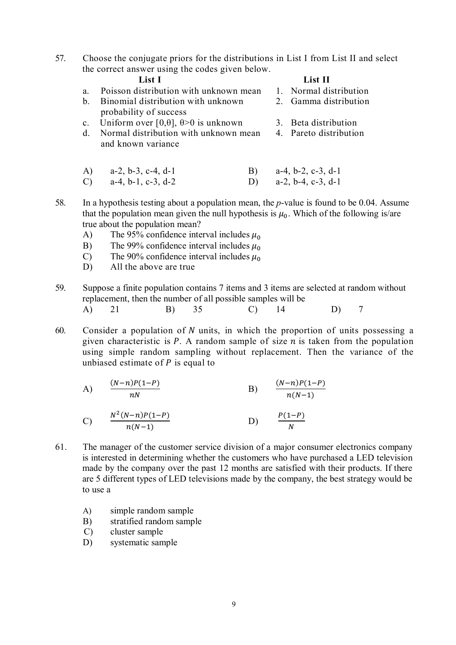57. Choose the conjugate priors for the distributions in List I from List II and select the correct answer using the codes given below.

| List II |  |
|---------|--|
|         |  |

- a. Poisson distribution with unknown mean 1. Normal distribution
- b. Binomial distribution with unknown 2. Gamma distribution probability of success
- c. Uniform over [0, $\theta$ ],  $\theta$ >0 is unknown 3. Beta distribution
- d. Normal distribution with unknown mean 4. Pareto distribution and known variance
- A) a-2, b-3, c-4, d-1 B) a-4, b-2, c-3, d-1 C) a-4, b-1, c-3, d-2 D) a-2, b-4, c-3, d-1
- 58. In a hypothesis testing about a population mean, the *p*-value is found to be 0.04. Assume that the population mean given the null hypothesis is  $\mu_0$ . Which of the following is/are true about the population mean?
	- A) The 95% confidence interval includes  $\mu_0$
	- B) The 99% confidence interval includes  $\mu_0$ <br>C) The 90% confidence interval includes  $\mu_0$
	- C) The 90% confidence interval includes  $\mu_0$ <br>D) All the above are true
	- All the above are true
- 59. Suppose a finite population contains 7 items and 3 items are selected at random without replacement, then the number of all possible samples will be A) 21 B) 35 C) 14 D) 7
- 60. Consider a population of  $N$  units, in which the proportion of units possessing a given characteristic is  $P$ . A random sample of size  $n$  is taken from the population using simple random sampling without replacement. Then the variance of the unbiased estimate of  $P$  is equal to
	- A)  $\frac{(N-n)P(1-P)}{N}$  $n<sub>N</sub>$ B)  $\frac{(N-n)P(1-P)}{(N-1)}$  $\frac{n(n-1)}{n(N-1)}$

C) 
$$
\frac{N^2(N-n)P(1-P)}{n(N-1)}
$$
 D)  $\frac{P(1-P)}{N}$ 

- 61. The manager of the customer service division of a major consumer electronics company is interested in determining whether the customers who have purchased a LED television made by the company over the past 12 months are satisfied with their products. If there are 5 different types of LED televisions made by the company, the best strategy would be to use a
	- A) simple random sample
	- B) stratified random sample
	- C) cluster sample
	- D) systematic sample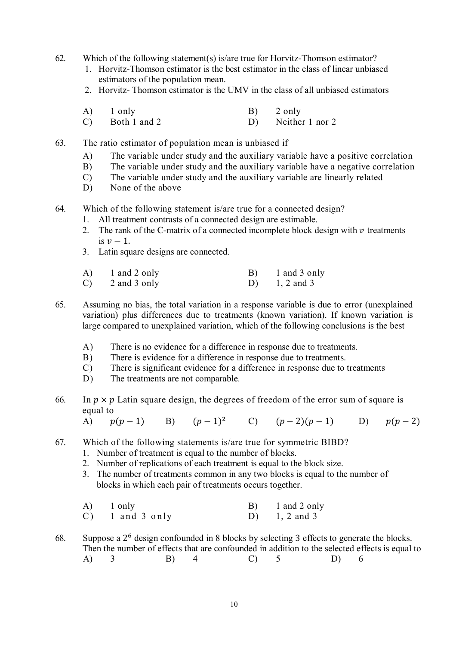- 62. Which of the following statement(s) is/are true for Horvitz-Thomson estimator?
	- 1. Horvitz-Thomson estimator is the best estimator in the class of linear unbiased estimators of the population mean.
	- 2. Horvitz- Thomson estimator is the UMV in the class of all unbiased estimators
	- A) 1 only B) 2 only
	- C) Both 1 and 2 D) Neither 1 nor 2
- 63. The ratio estimator of population mean is unbiased if
	- A) The variable under study and the auxiliary variable have a positive correlation
	- B) The variable under study and the auxiliary variable have a negative correlation
	- C) The variable under study and the auxiliary variable are linearly related
	- D) None of the above
- 64. Which of the following statement is/are true for a connected design?
	- 1. All treatment contrasts of a connected design are estimable.
	- 2. The rank of the C-matrix of a connected incomplete block design with  $\nu$  treatments is  $v - 1$ .
	- 3. Latin square designs are connected.

| A) | 1 and 2 only | 1 and 3 only  |
|----|--------------|---------------|
| C) | 2 and 3 only | D) 1, 2 and 3 |

- 65. Assuming no bias, the total variation in a response variable is due to error (unexplained variation) plus differences due to treatments (known variation). If known variation is large compared to unexplained variation, which of the following conclusions is the best
	- A) There is no evidence for a difference in response due to treatments.
	- B) There is evidence for a difference in response due to treatments.
	- C) There is significant evidence for a difference in response due to treatments
	- D) The treatments are not comparable.
- 66. In  $p \times p$  Latin square design, the degrees of freedom of the error sum of square is equal to

(A)  $p(p-1)$  B)  $(p-1)^2$ (2)  $(p-2)(p-1)$  (D)  $p(p-2)$ 

- 67. Which of the following statements is/are true for symmetric BIBD?
	- 1. Number of treatment is equal to the number of blocks.
	- 2. Number of replications of each treatment is equal to the block size.
	- 3. The number of treatments common in any two blocks is equal to the number of blocks in which each pair of treatments occurs together.
	- A) 1 only B) 1 and 2 only  $\overline{C}$  1 and 3 only  $\overline{D}$  1, 2 and 3
- 68. Suppose a  $2^6$  design confounded in 8 blocks by selecting 3 effects to generate the blocks. Then the number of effects that are confounded in addition to the selected effects is equal to A) 3 B) 4 C) 5 D) 6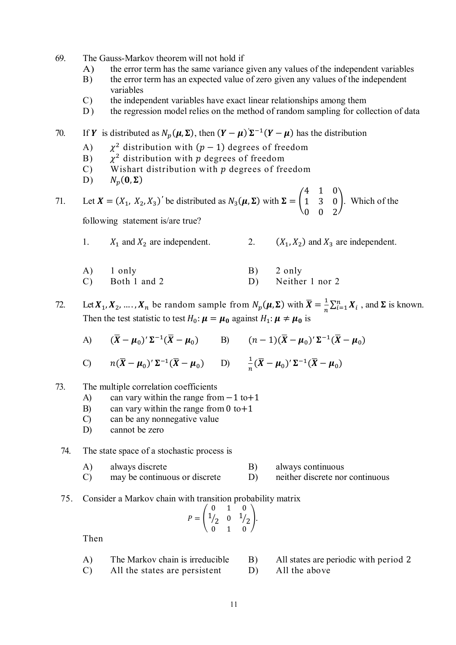- 69. The Gauss-Markov theorem will not hold if
	- A) the error term has the same variance given any values of the independent variables
	- B) the error term has an expected value of zero given any values of the independent variables
	- C) the independent variables have exact linear relationships among them
	- D) the regression model relies on the method of random sampling for collection of data

70. If Y is distributed as  $N_p(\mu, \Sigma)$ , then  $(Y - \mu) \Sigma^{-1}(Y - \mu)$  has the distribution

- $\bf{A}$ ) <sup>2</sup> distribution with  $(p - 1)$  degrees of freedom
- $B)$  $3$  distribution with  $p$  degrees of freedom
- C) Wishart distribution with  $p$  degrees of freedom
- $D)$  $N_n(\mathbf{0}, \mathbf{\Sigma})$

71. Let  $X = (X_1, X_2, X_3)'$  be distributed as  $N_3(\mu, \Sigma)$  with  $\Sigma = \begin{bmatrix} 1 & 0 \\ 0 & 1 \end{bmatrix}$ 4 1 0 1 3 0 0 0 2 ൱. Which of the following statement is/are true?

1.  $X_1$  and  $X_2$  are independent. 2.  $(X_1, X_2)$  and  $X_3$  are independent.

| A) 1 only          | B) 2 only          |
|--------------------|--------------------|
| $(C)$ Both 1 and 2 | D) Neither 1 nor 2 |

- 72. Let  $X_1, X_2, ..., X_n$  be random sample from  $N_p(\mu, \Sigma)$  with  $\bar{X} = \frac{1}{n}$  $\frac{1}{n}\sum_{i=1}^{n} X_i$ , and  $\Sigma$  is known. Then the test statistic to test  $H_0: \mu = \mu_0$  against  $H_1: \mu \neq \mu_0$  is
	- A)  $(\overline{X} \mu_0)' \Sigma^{-1} (\overline{X} \mu_0)$  B)  $(n-1)(\overline{X} \mu_0)' \Sigma^{-1} (\overline{X} \mu_0)$
	- C)  $n(\overline{X} \mu_0)' \Sigma^{-1} (\overline{X} \mu_0)$  D)  $\frac{1}{n} (\overline{X} \mu_0)' \Sigma^{-1} (\overline{X} \mu_0)$
- 73. The multiple correlation coefficients
	- A) can vary within the range from  $-1$  to  $+1$
	- B) can vary within the range from  $0$  to  $+1$
	- C) can be any nonnegative value
	- D) cannot be zero

## 74. The state space of a stochastic process is

- A) always discrete B) always continuous
- C) may be continuous or discrete D) neither discrete nor continuous
- 75. Consider a Markov chain with transition probability matrix

$$
P = \begin{pmatrix} 0 & 1 & 0 \\ 1/2 & 0 & 1/2 \\ 0 & 1 & 0 \end{pmatrix}.
$$

Then

- A) The Markov chain is irreducible B) All states are periodic with period 2
- $(C)$  All the states are persistent D) All the above